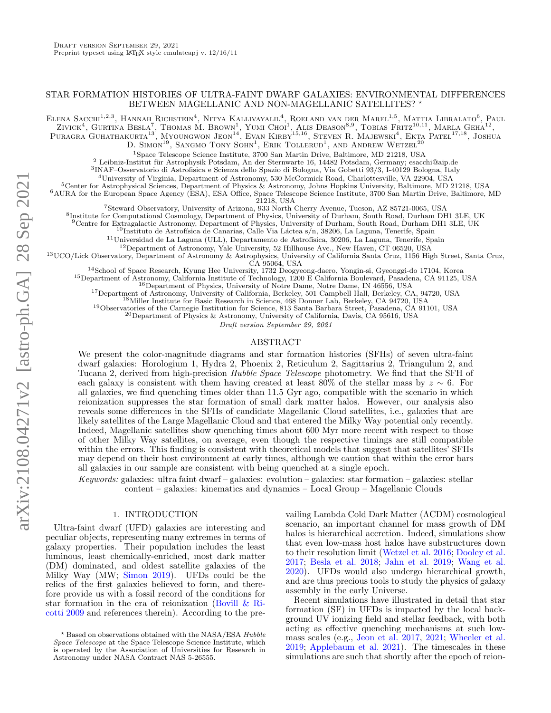# STAR FORMATION HISTORIES OF ULTRA-FAINT DWARF GALAXIES: ENVIRONMENTAL DIFFERENCES BETWEEN MAGELLANIC AND NON-MAGELLANIC SATELLITES? \*

ELENA SACCHI<sup>1,2,3</sup>. HANNAH RICHSTEIN<sup>4</sup>. Nitya Kallivayalil<sup>4</sup>. Roeland van der Marel<sup>1,5</sup>. Mattia Libralato<sup>6</sup>. Paul

ZIVICK<sup>4</sup>, GURTINA BESLA<sup>7</sup>, THOMAS M. BROWN<sup>1</sup>, YUMI CHOI<sup>1</sup>, ALIS DEASON<sup>8,9</sup>, TOBIAS FRITZ<sup>10,11</sup>, MARLA GEHA<sup>12</sup>,

Puragra Guhathakurta<sup>13</sup>, Myoungwon Jeon<sup>14</sup>, Evan Kirby<sup>15,16</sup>, Steven R. Majewski<sup>4</sup>, Ekta Patel<sup>17,18</sup>, Joshua D. SIMON<sup>19</sup>, SANGMO TONY SOHN<sup>1</sup>, ERIK TOLLERUD<sup>1</sup>, AND ANDREW WETZEL<sup>20</sup>

<sup>1</sup>Space Telescope Science Institute, 3700 San Martin Drive, Baltimore, MD 21218, USA

 $^{2}$  Leibniz-Institut für Astrophysik Potsdam, An der Sternwarte 16, 14482 Potsdam, Germany; esacchi@aip.de

3 INAF–Osservatorio di Astrofisica e Scienza dello Spazio di Bologna, Via Gobetti 93/3, I-40129 Bologna, Italy

<sup>4</sup>University of Virginia, Department of Astronomy, 530 McCormick Road, Charlottesville, VA 22904, USA

<sup>5</sup>Center for Astrophysical Sciences, Department of Physics & Astronomy, Johns Hopkins University, Baltimore, MD 21218, USA

<sup>6</sup>AURA for the European Space Agency (ESA), ESA Office, Space Telescope Science Institute, 3700 San Martin Drive, Baltimore, MD

21218, USA

<sup>7</sup>Steward Observatory, University of Arizona, 933 North Cherry Avenue, Tucson, AZ 85721-0065, USA

8 Institute for Computational Cosmology, Department of Physics, University of Durham, South Road, Durham DH1 3LE, UK

<sup>9</sup>Centre for Extragalactic Astronomy, Department of Physics, University of Durham, South Road, Durham DH1 3LE, UK

<sup>10</sup>Instituto de Astrofísica de Canarias, Calle Via Láctea s/n, 38206, La Laguna, Tenerife, Spain

 $11$ Universidad de La Laguna (ULL), Departamento de Astrofísica, 30206, La Laguna, Tenerife, Spain

<sup>12</sup>Department of Astronomy, Yale University, 52 Hillhouse Ave., New Haven, CT 06520, USA

<sup>13</sup>UCO/Lick Observatory, Department of Astronomy & Astrophysics, University of California Santa Cruz, 1156 High Street, Santa Cruz, CA 95064, USA

<sup>14</sup>School of Space Research, Kyung Hee University, 1732 Deogyeong-daero, Yongin-si, Gyeonggi-do 17104, Korea

<sup>15</sup>Department of Astronomy, California Institute of Technology, 1200 E California Boulevard, Pasadena, CA 91125, USA

<sup>16</sup>Department of Physics, University of Notre Dame, Notre Dame, IN 46556, USA

<sup>17</sup>Department of Astronomy, University of California, Berkeley, 501 Campbell Hall, Berkeley, CA, 94720, USA

<sup>18</sup>Miller Institute for Basic Research in Science, 468 Donner Lab, Berkeley, CA 94720, USA

<sup>19</sup>Observatories of the Carnegie Institution for Science, 813 Santa Barbara Street, Pasadena, CA 91101, USA

<sup>20</sup>Department of Physics & Astronomy, University of California, Davis, CA 95616, USA

Draft version September 29, 2021

# ABSTRACT

We present the color-magnitude diagrams and star formation histories (SFHs) of seven ultra-faint dwarf galaxies: Horologium 1, Hydra 2, Phoenix 2, Reticulum 2, Sagittarius 2, Triangulum 2, and Tucana 2, derived from high-precision Hubble Space Telescope photometry. We find that the SFH of each galaxy is consistent with them having created at least 80% of the stellar mass by  $z \sim 6$ . For all galaxies, we find quenching times older than 11.5 Gyr ago, compatible with the scenario in which reionization suppresses the star formation of small dark matter halos. However, our analysis also reveals some differences in the SFHs of candidate Magellanic Cloud satellites, i.e., galaxies that are likely satellites of the Large Magellanic Cloud and that entered the Milky Way potential only recently. Indeed, Magellanic satellites show quenching times about 600 Myr more recent with respect to those of other Milky Way satellites, on average, even though the respective timings are still compatible within the errors. This finding is consistent with theoretical models that suggest that satellites' SFHs may depend on their host environment at early times, although we caution that within the error bars all galaxies in our sample are consistent with being quenched at a single epoch.

Keywords: galaxies: ultra faint dwarf – galaxies: evolution – galaxies: star formation – galaxies: stellar  $\alpha$  content – galaxies: kinematics and dynamics – Local Group – Magellanic Clouds

# 1. INTRODUCTION

Ultra-faint dwarf (UFD) galaxies are interesting and peculiar objects, representing many extremes in terms of galaxy properties. Their population includes the least luminous, least chemically-enriched, most dark matter (DM) dominated, and oldest satellite galaxies of the Milky Way (MW; [Simon](#page-6-0) [2019\)](#page-6-0). UFDs could be the relics of the first galaxies believed to form, and therefore provide us with a fossil record of the conditions for star formation in the era of reionization [\(Bovill & Ri](#page-5-0)[cotti](#page-5-0) [2009](#page-5-0) and references therein). According to the pre-

vailing Lambda Cold Dark Matter (ΛCDM) cosmological scenario, an important channel for mass growth of DM halos is hierarchical accretion. Indeed, simulations show that even low-mass host halos have substructures down to their resolution limit [\(Wetzel et al.](#page-6-1) [2016;](#page-6-1) [Dooley et al.](#page-5-1) [2017;](#page-5-1) [Besla et al.](#page-5-2) [2018;](#page-5-2) [Jahn et al.](#page-5-3) [2019;](#page-5-3) [Wang et al.](#page-6-2) [2020\)](#page-6-2). UFDs would also undergo hierarchical growth, and are thus precious tools to study the physics of galaxy assembly in the early Universe.

Recent simulations have illustrated in detail that star formation (SF) in UFDs is impacted by the local background UV ionizing field and stellar feedback, with both acting as effective quenching mechanisms at such lowmass scales (e.g., [Jeon et al.](#page-5-4) [2017,](#page-5-4) [2021;](#page-5-5) [Wheeler et al.](#page-6-3) [2019;](#page-6-3) [Applebaum et al.](#page-5-6) [2021\)](#page-5-6). The timescales in these simulations are such that shortly after the epoch of reion-

<sup>?</sup> Based on observations obtained with the NASA/ESA Hubble Space Telescope at the Space Telescope Science Institute, which is operated by the Association of Universities for Research in Astronomy under NASA Contract NAS 5-26555.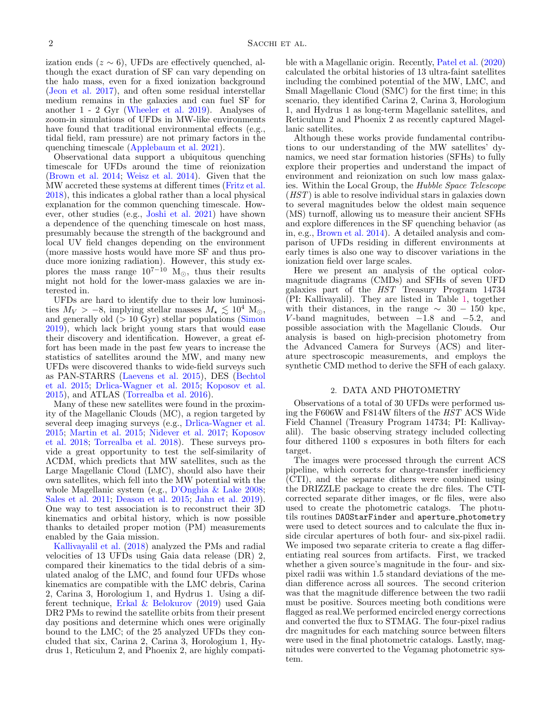ization ends ( $z \sim 6$ ), UFDs are effectively quenched, although the exact duration of SF can vary depending on the halo mass, even for a fixed ionization background [\(Jeon et al.](#page-5-4) [2017\)](#page-5-4), and often some residual interstellar medium remains in the galaxies and can fuel SF for another 1 - 2 Gyr [\(Wheeler et al.](#page-6-3) [2019\)](#page-6-3). Analyses of zoom-in simulations of UFDs in MW-like environments have found that traditional environmental effects (e.g., tidal field, ram pressure) are not primary factors in the quenching timescale [\(Applebaum et al.](#page-5-6) [2021\)](#page-5-6).

Observational data support a ubiquitous quenching timescale for UFDs around the time of reionization [\(Brown et al.](#page-5-7) [2014;](#page-5-7) [Weisz et al.](#page-6-4) [2014\)](#page-6-4). Given that the MW accreted these systems at different times [\(Fritz et al.](#page-5-8) [2018\)](#page-5-8), this indicates a global rather than a local physical explanation for the common quenching timescale. However, other studies (e.g., [Joshi et al.](#page-5-9) [2021\)](#page-5-9) have shown a dependence of the quenching timescale on host mass, presumably because the strength of the background and local UV field changes depending on the environment (more massive hosts would have more SF and thus produce more ionizing radiation). However, this study explores the mass range  $10^{7-10}$  M<sub>☉</sub>, thus their results might not hold for the lower-mass galaxies we are interested in.

UFDs are hard to identify due to their low luminosities  $M_V > -8$ , implying stellar masses  $M_{\star} \lesssim 10^4$  M<sub>o</sub>, and generally old  $(> 10 \text{ Gyr})$  stellar populations [\(Simon](#page-6-0) [2019\)](#page-6-0), which lack bright young stars that would ease their discovery and identification. However, a great effort has been made in the past few years to increase the statistics of satellites around the MW, and many new UFDs were discovered thanks to wide-field surveys such as PAN-STARRS [\(Laevens et al.](#page-5-10) [2015\)](#page-5-10), DES [\(Bechtol](#page-5-11) [et al.](#page-5-11) [2015;](#page-5-11) [Drlica-Wagner et al.](#page-5-12) [2015;](#page-5-12) [Koposov et al.](#page-5-13) [2015\)](#page-5-13), and ATLAS [\(Torrealba et al.](#page-6-5) [2016\)](#page-6-5).

Many of these new satellites were found in the proximity of the Magellanic Clouds (MC), a region targeted by several deep imaging surveys (e.g., [Drlica-Wagner et al.](#page-5-12) [2015;](#page-5-12) [Martin et al.](#page-5-14) [2015;](#page-5-14) [Nidever et al.](#page-5-15) [2017;](#page-5-15) [Koposov](#page-5-16) [et al.](#page-5-16) [2018;](#page-5-16) [Torrealba et al.](#page-6-6) [2018\)](#page-6-6). These surveys provide a great opportunity to test the self-similarity of ΛCDM, which predicts that MW satellites, such as the Large Magellanic Cloud (LMC), should also have their own satellites, which fell into the MW potential with the whole Magellanic system (e.g., [D'Onghia & Lake](#page-5-17) [2008;](#page-5-17) [Sales et al.](#page-5-18) [2011;](#page-5-18) [Deason et al.](#page-5-19) [2015;](#page-5-19) [Jahn et al.](#page-5-3) [2019\)](#page-5-3). One way to test association is to reconstruct their 3D kinematics and orbital history, which is now possible thanks to detailed proper motion (PM) measurements enabled by the Gaia mission.

[Kallivayalil et al.](#page-5-20) [\(2018\)](#page-5-20) analyzed the PMs and radial velocities of 13 UFDs using Gaia data release (DR) 2, compared their kinematics to the tidal debris of a simulated analog of the LMC, and found four UFDs whose kinematics are compatible with the LMC debris, Carina 2, Carina 3, Horologium 1, and Hydrus 1. Using a different technique, [Erkal & Belokurov](#page-5-21) [\(2019\)](#page-5-21) used Gaia DR2 PMs to rewind the satellite orbits from their present day positions and determine which ones were originally bound to the LMC; of the 25 analyzed UFDs they concluded that six, Carina 2, Carina 3, Horologium 1, Hydrus 1, Reticulum 2, and Phoenix 2, are highly compati-

ble with a Magellanic origin. Recently, [Patel et al.](#page-5-22) [\(2020\)](#page-5-22) calculated the orbital histories of 13 ultra-faint satellites including the combined potential of the MW, LMC, and Small Magellanic Cloud (SMC) for the first time; in this scenario, they identified Carina 2, Carina 3, Horologium 1, and Hydrus 1 as long-term Magellanic satellites, and Reticulum 2 and Phoenix 2 as recently captured Magellanic satellites.

Although these works provide fundamental contributions to our understanding of the MW satellites' dynamics, we need star formation histories (SFHs) to fully explore their properties and understand the impact of environment and reionization on such low mass galaxies. Within the Local Group, the Hubble Space Telescope (HST) is able to resolve individual stars in galaxies down to several magnitudes below the oldest main sequence (MS) turnoff, allowing us to measure their ancient SFHs and explore differences in the SF quenching behavior (as in, e.g., [Brown et al.](#page-5-7) [2014\)](#page-5-7). A detailed analysis and comparison of UFDs residing in different environments at early times is also one way to discover variations in the ionization field over large scales.

Here we present an analysis of the optical colormagnitude diagrams (CMDs) and SFHs of seven UFD galaxies part of the  $HST$  Treasury Program 14734 (PI: Kallivayalil). They are listed in Table [1,](#page-2-0) together with their distances, in the range  $\sim$  30 − 150 kpc, V-band magnitudes, between  $-1.8$  and  $-5.2$ , and possible association with the Magellanic Clouds. Our analysis is based on high-precision photometry from the Advanced Camera for Surveys (ACS) and literature spectroscopic measurements, and employs the synthetic CMD method to derive the SFH of each galaxy.

#### 2. DATA AND PHOTOMETRY

<span id="page-1-0"></span>Observations of a total of 30 UFDs were performed using the F606W and F814W filters of the HST ACS Wide Field Channel (Treasury Program 14734; PI: Kallivayalil). The basic observing strategy included collecting four dithered 1100 s exposures in both filters for each target.

The images were processed through the current ACS pipeline, which corrects for charge-transfer inefficiency (CTI), and the separate dithers were combined using the DRIZZLE package to create the drc files. The CTIcorrected separate dither images, or flc files, were also used to create the photometric catalogs. The photutils routines DAOStarFinder and aperture photometry were used to detect sources and to calculate the flux inside circular apertures of both four- and six-pixel radii. We imposed two separate criteria to create a flag differentiating real sources from artifacts. First, we tracked whether a given source's magnitude in the four- and sixpixel radii was within 1.5 standard deviations of the median difference across all sources. The second criterion was that the magnitude difference between the two radii must be positive. Sources meeting both conditions were flagged as real.We performed encircled energy corrections and converted the flux to STMAG. The four-pixel radius drc magnitudes for each matching source between filters were used in the final photometric catalogs. Lastly, magnitudes were converted to the Vegamag photometric system.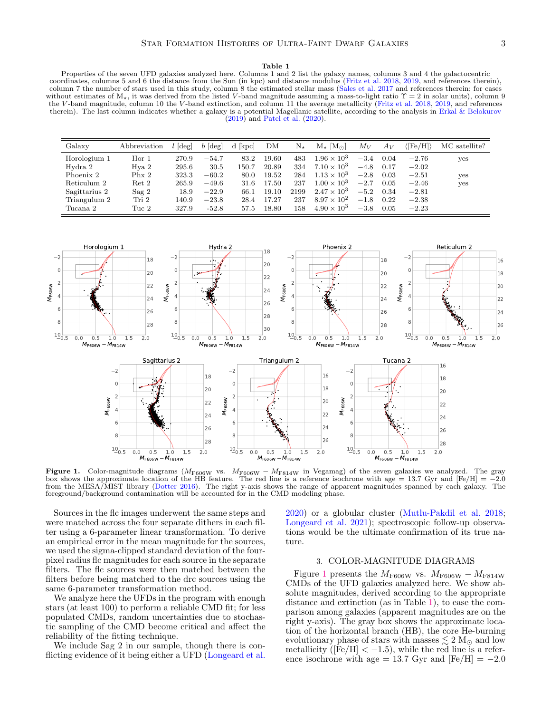#### Table 1

<span id="page-2-0"></span>Properties of the seven UFD galaxies analyzed here. Columns 1 and 2 list the galaxy names, columns 3 and 4 the galactocentric coordinates, columns 5 and 6 the distance from the Sun (in kpc) and distance modulus [\(Fritz et al.](#page-5-8) [2018,](#page-5-8) [2019,](#page-5-23) and references therein), column 7 the number of stars used in this study, column 8 the estimated stellar mass [\(Sales et al.](#page-6-7) [2017](#page-6-7) and references therein; for cases without estimates of  $M_{\star}$ , it was derived from the listed V-band magnitude assuming a mass-to-light ratio  $\Upsilon = 2$  in solar units), column 9 the V -band magnitude, column 10 the V -band extinction, and column 11 the average metallicity [\(Fritz et al.](#page-5-8) [2018,](#page-5-8) [2019,](#page-5-23) and references therein). The last column indicates whether a galaxy is a potential Magellanic satellite, according to the analysis in [Erkal & Belokurov](#page-5-21)  $(2019)$  and [Patel et al.](#page-5-22)  $(2020)$ .

| Galaxy        | Abbreviation     | $[\text{deg}]$ | $b \,[\text{deg}]$ | d [kpc] | DM    | $N_{\star}$ | $M_{\star}$ [M <sub><math>\odot</math></sub> ] | $M_V$  | $A_V$ | $\langle {\rm [Fe/H]} \rangle$ | MC satellite? |
|---------------|------------------|----------------|--------------------|---------|-------|-------------|------------------------------------------------|--------|-------|--------------------------------|---------------|
| Horologium 1  | Hor 1            | 270.9          | $-54.7$            | 83.2    | 19.60 | 483         | $1.96\times10^3$                               | $-3.4$ | 0.04  | $-2.76$                        | yes           |
| Hydra 2       | Hya 2            | 295.6          | 30.5               | 150.7   | 20.89 | 334         | $7.10 \times 10^{3}$                           | $-4.8$ | 0.17  | $-2.02$                        |               |
| Phoenix 2     | Phx 2            | 323.3          | $-60.2$            | 80.0    | 19.52 | 284         | $1.13 \times 10^{3}$                           | $-2.8$ | 0.03  | $-2.51$                        | yes           |
| Reticulum 2   | $Ret\ 2$         | 265.9          | $-49.6$            | 31.6    | 17.50 | 237         | $1.00 \times 10^{3}$                           | $-2.7$ | 0.05  | $-2.46$                        | yes           |
| Sagittarius 2 | Sag <sub>2</sub> | 18.9           | $-22.9$            | 66.1    | 19.10 | 2199        | $2.47 \times 10^{3}$                           | $-5.2$ | 0.34  | $-2.81$                        |               |
| Triangulum 2  | Tri 2            | 140.9          | $-23.8$            | 28.4    | 17.27 | 237         | $8.97 \times 10^{2}$                           | $-1.8$ | 0.22  | $-2.38$                        |               |
| Tucana 2      | Tuc 2            | 327.9          | $-52.8$            | 57.5    | 18.80 | 158         | $4.90 \times 10^{3}$                           | $-3.8$ | 0.05  | $-2.23$                        |               |

<span id="page-2-1"></span>

**Figure 1.** Color-magnitude diagrams ( $M_{\text{F606W}}$  vs.  $M_{\text{F606W}} - M_{\text{F814W}}$  in Vegamag) of the seven galaxies we analyzed. The gray box shows the approximate location of the HB feature. The red line is a reference i box shows the approximate location of the HB feature. The red line is a reference isochrone with age = 13.7 Gyr and  $[Fe/H] = -2$ from the MESA/MIST library [\(Dotter](#page-5-24) [2016\)](#page-5-24). The right y-axis shows the range of apparent magnitudes spanned by each galaxy. The foreground/background contamination will be accounted for in the CMD modeling phase.

Sources in the flc images underwent the same steps and were matched across the four separate dithers in each filter using a 6-parameter linear transformation. To derive an empirical error in the mean magnitude for the sources, we used the sigma-clipped standard deviation of the fourpixel radius flc magnitudes for each source in the separate filters. The flc sources were then matched between the filters before being matched to the drc sources using the same 6-parameter transformation method.

We analyze here the UFDs in the program with enough stars (at least 100) to perform a reliable CMD fit; for less populated CMDs, random uncertainties due to stochastic sampling of the CMD become critical and affect the reliability of the fitting technique.

We include Sag 2 in our sample, though there is conflicting evidence of it being either a UFD [\(Longeard et al.](#page-5-25) [2020\)](#page-5-25) or a globular cluster [\(Mutlu-Pakdil et al.](#page-5-26) [2018;](#page-5-26) [Longeard et al.](#page-5-27) [2021\)](#page-5-27); spectroscopic follow-up observations would be the ultimate confirmation of its true nature.

#### 3. COLOR-MAGNITUDE DIAGRAMS

<span id="page-2-2"></span>Figure [1](#page-2-1) presents the  $M_{F606W}$  vs.  $M_{F606W} - M_{F814W}$ CMDs of the UFD galaxies analyzed here. We show absolute magnitudes, derived according to the appropriate distance and extinction (as in Table [1\)](#page-2-0), to ease the comparison among galaxies (apparent magnitudes are on the right y-axis). The gray box shows the approximate location of the horizontal branch (HB), the core He-burning evolutionary phase of stars with masses  $\lesssim 2 \text{ M}_{\odot}$  and low metallicity ( $[Fe/H] < -1.5$ ), while the red line is a reference isochrone with age = 13.7 Gyr and  $[Fe/H] = -2.0$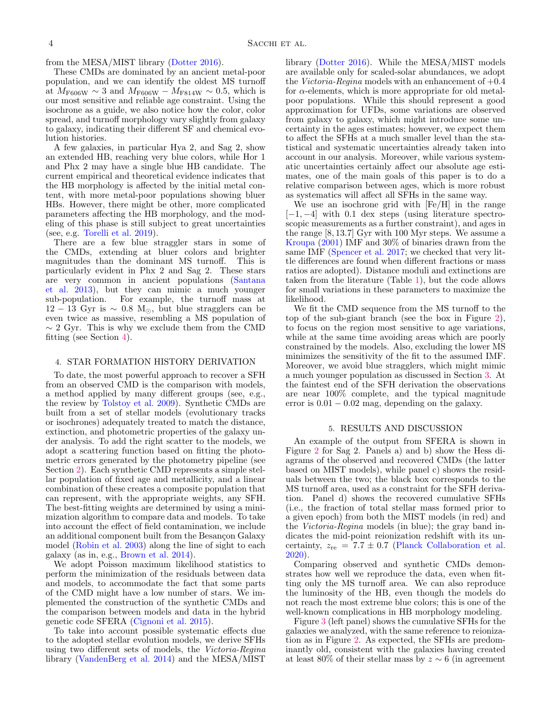### from the MESA/MIST library [\(Dotter](#page-5-24) [2016\)](#page-5-24).

These CMDs are dominated by an ancient metal-poor population, and we can identify the oldest MS turnoff at  $M_{\text{F606W}} \sim 3$  and  $M_{\text{F606W}} - M_{\text{F814W}} \sim 0.5$ , which is our most sensitive and reliable age constraint. Using the isochrone as a guide, we also notice how the color, color spread, and turnoff morphology vary slightly from galaxy to galaxy, indicating their different SF and chemical evolution histories.

A few galaxies, in particular Hya 2, and Sag 2, show an extended HB, reaching very blue colors, while Hor 1 and Phx 2 may have a single blue HB candidate. The current empirical and theoretical evidence indicates that the HB morphology is affected by the initial metal content, with more metal-poor populations showing bluer HBs. However, there might be other, more complicated parameters affecting the HB morphology, and the modeling of this phase is still subject to great uncertainties (see, e.g. [Torelli et al.](#page-6-8) [2019\)](#page-6-8).

There are a few blue straggler stars in some of the CMDs, extending at bluer colors and brighter magnitudes than the dominant MS turnoff. This is particularly evident in Phx 2 and Sag 2. These stars are very common in ancient populations [\(Santana](#page-6-9) [et al.](#page-6-9) [2013\)](#page-6-9), but they can mimic a much younger sub-population. For example, the turnoff mass at  $12 - 13$  Gyr is  $\sim 0.8$  M<sub>☉</sub>, but blue stragglers can be even twice as massive, resembling a MS population of  $\sim$  2 Gyr. This is why we exclude them from the CMD fitting (see Section [4\)](#page-3-0).

### <span id="page-3-0"></span>4. STAR FORMATION HISTORY DERIVATION

To date, the most powerful approach to recover a SFH from an observed CMD is the comparison with models, a method applied by many different groups (see, e.g., the review by [Tolstoy et al.](#page-6-10) [2009\)](#page-6-10). Synthetic CMDs are built from a set of stellar models (evolutionary tracks or isochrones) adequately treated to match the distance, extinction, and photometric properties of the galaxy under analysis. To add the right scatter to the models, we adopt a scattering function based on fitting the photometric errors generated by the photometry pipeline (see Section [2\)](#page-1-0). Each synthetic CMD represents a simple stellar population of fixed age and metallicity, and a linear combination of these creates a composite population that can represent, with the appropriate weights, any SFH. The best-fitting weights are determined by using a minimization algorithm to compare data and models. To take into account the effect of field contamination, we include an additional component built from the Besançon Galaxy model [\(Robin et al.](#page-5-28) [2003\)](#page-5-28) along the line of sight to each galaxy (as in, e.g., [Brown et al.](#page-5-7) [2014\)](#page-5-7).

We adopt Poisson maximum likelihood statistics to perform the minimization of the residuals between data and models, to accommodate the fact that some parts of the CMD might have a low number of stars. We implemented the construction of the synthetic CMDs and the comparison between models and data in the hybrid genetic code SFERA [\(Cignoni et al.](#page-5-29) [2015\)](#page-5-29).

To take into account possible systematic effects due to the adopted stellar evolution models, we derive SFHs using two different sets of models, the Victoria-Regina library [\(VandenBerg et al.](#page-6-11) [2014\)](#page-6-11) and the MESA/MIST

library [\(Dotter](#page-5-24) [2016\)](#page-5-24). While the MESA/MIST models are available only for scaled-solar abundances, we adopt the Victoria-Regina models with an enhancement of  $+0.4$ for  $\alpha$ -elements, which is more appropriate for old metalpoor populations. While this should represent a good approximation for UFDs, some variations are observed from galaxy to galaxy, which might introduce some uncertainty in the ages estimates; however, we expect them to affect the SFHs at a much smaller level than the statistical and systematic uncertainties already taken into account in our analysis. Moreover, while various systematic uncertainties certainly affect our absolute age estimates, one of the main goals of this paper is to do a relative comparison between ages, which is more robust as systematics will affect all SFHs in the same way.

We use an isochrone grid with [Fe/H] in the range  $[-1, -4]$  with 0.1 dex steps (using literature spectroscopic measurements as a further constraint), and ages in the range [8, 13.7] Gyr with 100 Myr steps. We assume a [Kroupa](#page-5-30) [\(2001\)](#page-5-30) IMF and 30% of binaries drawn from the same IMF [\(Spencer et al.](#page-6-12) [2017;](#page-6-12) we checked that very little differences are found when different fractions or mass ratios are adopted). Distance moduli and extinctions are taken from the literature (Table [1\)](#page-2-0), but the code allows for small variations in these parameters to maximize the likelihood.

We fit the CMD sequence from the MS turnoff to the top of the sub-giant branch (see the box in Figure [2\)](#page-4-0), to focus on the region most sensitive to age variations, while at the same time avoiding areas which are poorly constrained by the models. Also, excluding the lower MS minimizes the sensitivity of the fit to the assumed IMF. Moreover, we avoid blue stragglers, which might mimic a much younger population as discussed in Section [3.](#page-2-2) At the faintest end of the SFH derivation the observations are near 100% complete, and the typical magnitude error is  $0.01 - 0.02$  mag, depending on the galaxy.

### 5. RESULTS AND DISCUSSION

An example of the output from SFERA is shown in Figure [2](#page-4-0) for Sag 2. Panels a) and b) show the Hess diagrams of the observed and recovered CMDs (the latter based on MIST models), while panel c) shows the residuals between the two; the black box corresponds to the MS turnoff area, used as a constraint for the SFH derivation. Panel d) shows the recovered cumulative SFHs (i.e., the fraction of total stellar mass formed prior to a given epoch) from both the MIST models (in red) and the Victoria-Regina models (in blue); the gray band indicates the mid-point reionization redshift with its uncertainty,  $z_{\text{re}} = 7.7 \pm 0.7$  [\(Planck Collaboration et al.](#page-5-31) [2020\)](#page-5-31).

Comparing observed and synthetic CMDs demonstrates how well we reproduce the data, even when fitting only the MS turnoff area. We can also reproduce the luminosity of the HB, even though the models do not reach the most extreme blue colors; this is one of the well-known complications in HB morphology modeling.

Figure [3](#page-4-1) (left panel) shows the cumulative SFHs for the galaxies we analyzed, with the same reference to reionization as in Figure [2.](#page-4-0) As expected, the SFHs are predominantly old, consistent with the galaxies having created at least 80% of their stellar mass by  $z \sim 6$  (in agreement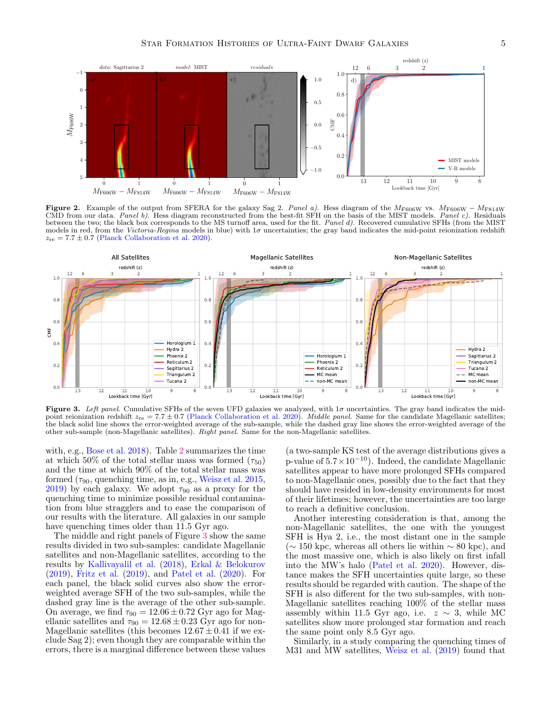<span id="page-4-0"></span>

Figure 2. Example of the output from SFERA for the galaxy Sag 2. Panel a). Hess diagram of the M<sub>F606W</sub> vs. M<sub>F606W</sub> – M<sub>F814W</sub> CMD from our data. Panel b). Hess diagram reconstructed from the best-fit SFH on the basis of the MIST models. Panel c). Residuals between the two; the black box corresponds to the MS turnoff area, used for the fit. Panel d). Recovered cumulative SFHs (from the MIST models in red, from the Victoria-Regina models in blue) with  $1\sigma$  uncertainties; the gray band indicates the mid-point reionization redshift  $z_{\text{re}} = 7.7 \pm 0.7$  [\(Planck Collaboration et al.](#page-5-31) [2020\)](#page-5-31).

<span id="page-4-1"></span>

Figure 3. Left panel. Cumulative SFHs of the seven UFD galaxies we analyzed, with  $1\sigma$  uncertainties. The gray band indicates the midpoint reionization redshift  $z_{\rm re} = 7.7 \pm 0.7$  [\(Planck Collaboration et al.](#page-5-31) [2020\)](#page-5-31). *Middle panel*. Same for the candidate Magellanic satellites; the black solid line shows the error-weighted average of the sub-sample, while the dashed gray line shows the error-weighted average of the other sub-sample (non-Magellanic satellites). Right panel. Same for the non-Magellanic satellites.

with, e.g., [Bose et al.](#page-5-32) [2018\)](#page-5-32). Table [2](#page-5-33) summarizes the time at which 50% of the total stellar mass was formed  $(\tau_{50})$ and the time at which 90% of the total stellar mass was formed  $(\tau_{90}$ , quenching time, as in, e.g., [Weisz et al.](#page-6-13) [2015,](#page-6-13) [2019\)](#page-6-14) by each galaxy. We adopt  $\tau_{90}$  as a proxy for the quenching time to minimize possible residual contamination from blue stragglers and to ease the comparison of our results with the literature. All galaxies in our sample have quenching times older than 11.5 Gyr ago.

The middle and right panels of Figure [3](#page-4-1) show the same results divided in two sub-samples: candidate Magellanic satellites and non-Magellanic satellites, according to the results by [Kallivayalil et al.](#page-5-20) [\(2018\)](#page-5-20), [Erkal & Belokurov](#page-5-21) [\(2019\)](#page-5-21), [Fritz et al.](#page-5-23) [\(2019\)](#page-5-23), and [Patel et al.](#page-5-22) [\(2020\)](#page-5-22). For each panel, the black solid curves also show the errorweighted average SFH of the two sub-samples, while the dashed gray line is the average of the other sub-sample. On average, we find  $\tau_{90} = 12.06 \pm 0.72$  Gyr ago for Magellanic satellites and  $\tau_{90} = 12.68 \pm 0.23$  Gyr ago for non-Magellanic satellites (this becomes  $12.67 \pm 0.41$  if we exclude Sag 2); even though they are comparable within the errors, there is a marginal difference between these values

(a two-sample KS test of the average distributions gives a p-value of  $5.7 \times 10^{-10}$ ). Indeed, the candidate Magellanic satellites appear to have more prolonged SFHs compared to non-Magellanic ones, possibly due to the fact that they should have resided in low-density environments for most of their lifetimes; however, the uncertainties are too large to reach a definitive conclusion.

Another interesting consideration is that, among the non-Magellanic satellites, the one with the youngest SFH is Hya 2, i.e., the most distant one in the sample  $(∼ 150 kpc, whereas all others lie within ~ 80 kpc), and$ the most massive one, which is also likely on first infall into the MW's halo [\(Patel et al.](#page-5-22) [2020\)](#page-5-22). However, distance makes the SFH uncertainties quite large, so these results should be regarded with caution. The shape of the SFH is also different for the two sub-samples, with non-Magellanic satellites reaching 100% of the stellar mass assembly within 11.5 Gyr ago, i.e.  $z \sim 3$ , while MC satellites show more prolonged star formation and reach the same point only 8.5 Gyr ago.

Similarly, in a study comparing the quenching times of M31 and MW satellites, [Weisz et al.](#page-6-14) [\(2019\)](#page-6-14) found that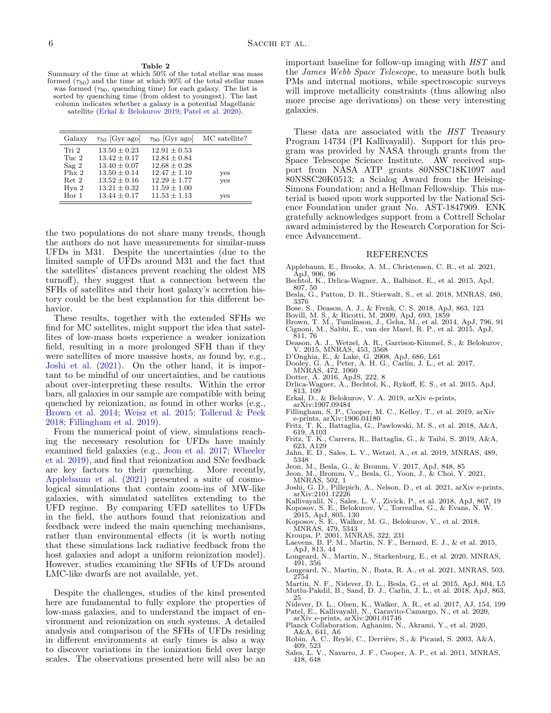<span id="page-5-33"></span>sorted by quenching time (from oldest to youngest). The last column indicates whether a galaxy is a potential Magellanic satellite [\(Erkal & Belokurov](#page-5-21) [2019;](#page-5-21) [Patel et al.](#page-5-22) [2020\)](#page-5-22).

| Galaxy                                                                                       | $\tau_{50}$ [Gyr ago]                                                                                                                  | $\tau_{90}$ [Gyr ago]                                                                                                                  | MC satellite?     |
|----------------------------------------------------------------------------------------------|----------------------------------------------------------------------------------------------------------------------------------------|----------------------------------------------------------------------------------------------------------------------------------------|-------------------|
| Tri 2<br>Tuc 2<br>Sag <sub>2</sub><br>Phx <sub>2</sub><br>Ret 2<br>Hya 2<br>Hor <sub>1</sub> | $13.50 \pm 0.23$<br>$13.42 \pm 0.17$<br>$13.40 \pm 0.07$<br>$13.50 \pm 0.14$<br>$13.52 + 0.16$<br>$13.21 \pm 0.32$<br>$13.44 \pm 0.17$ | $12.91 \pm 0.53$<br>$12.84 + 0.84$<br>$12.68 \pm 0.28$<br>$12.47 \pm 1.10$<br>$12.29 \pm 1.77$<br>$11.59 \pm 1.00$<br>$11.53 \pm 1.13$ | yes<br>yes<br>yes |

the two populations do not share many trends, though the authors do not have measurements for similar-mass UFDs in M31. Despite the uncertainties (due to the limited sample of UFDs around M31 and the fact that the satellites' distances prevent reaching the oldest MS turnoff), they suggest that a connection between the SFHs of satellites and their host galaxy's accretion history could be the best explanation for this different behavior.

These results, together with the extended SFHs we find for MC satellites, might support the idea that satellites of low-mass hosts experience a weaker ionization field, resulting in a more prolonged SFH than if they were satellites of more massive hosts, as found by, e.g., [Joshi et al.](#page-5-9) [\(2021\)](#page-5-9). On the other hand, it is important to be mindful of our uncertainties, and be cautious about over-interpreting these results. Within the error bars, all galaxies in our sample are compatible with being quenched by reionization, as found in other works (e.g., [Brown et al.](#page-5-7) [2014;](#page-5-7) [Weisz et al.](#page-6-13) [2015;](#page-6-13) [Tollerud & Peek](#page-6-15) [2018;](#page-6-15) [Fillingham et al.](#page-5-34) [2019\)](#page-5-34).

From the numerical point of view, simulations reaching the necessary resolution for UFDs have mainly examined field galaxies (e.g., [Jeon et al.](#page-5-4) [2017;](#page-5-4) [Wheeler](#page-6-3) [et al.](#page-6-3) [2019\)](#page-6-3), and find that reionization and SNe feedback are key factors to their quenching. More recently, [Applebaum et al.](#page-5-6) [\(2021\)](#page-5-6) presented a suite of cosmological simulations that contain zoom-ins of MW-like galaxies, with simulated satellites extending to the UFD regime. By comparing UFD satellites to UFDs in the field, the authors found that reionization and feedback were indeed the main quenching mechanisms, rather than environmental effects (it is worth noting that these simulations lack radiative feedback from the host galaxies and adopt a uniform reionization model). However, studies examining the SFHs of UFDs around LMC-like dwarfs are not available, yet.

Despite the challenges, studies of the kind presented here are fundamental to fully explore the properties of low-mass galaxies, and to understand the impact of environment and reionization on such systems. A detailed analysis and comparison of the SFHs of UFDs residing in different environments at early times is also a way to discover variations in the ionization field over large scales. The observations presented here will also be an important baseline for follow-up imaging with HST and the James Webb Space Telescope, to measure both bulk PMs and internal motions, while spectroscopic surveys will improve metallicity constraints (thus allowing also more precise age derivations) on these very interesting galaxies.

These data are associated with the HST Treasury Program 14734 (PI Kallivayalil). Support for this program was provided by NASA through grants from the Space Telescope Science Institute. AW received support from NASA ATP grants 80NSSC18K1097 and 80NSSC20K0513; a Scialog Award from the Heising-Simons Foundation; and a Hellman Fellowship. This material is based upon work supported by the National Science Foundation under grant No. AST-1847909. ENK gratefully acknowledges support from a Cottrell Scholar award administered by the Research Corporation for Science Advancement.

# REFERENCES

- <span id="page-5-6"></span>Applebaum, E., Brooks, A. M., Christensen, C. R., et al. 2021, ApJ, 906, 96
- <span id="page-5-11"></span>Bechtol, K., Drlica-Wagner, A., Balbinot, E., et al. 2015, ApJ, 807, 50 Besla, G., Patton, D. R., Stierwalt, S., et al. 2018, MNRAS, 480,
- <span id="page-5-2"></span>
- <span id="page-5-32"></span><span id="page-5-0"></span>
- <span id="page-5-29"></span><span id="page-5-7"></span>
- 3376<br>Bose, S., Deason, A. J., & Frenk, C. S. 2018, ApJ, 863, 123<br>Bovill, M. S., & Ricotti, M. 2009, ApJ, 693, 1859<br>Brown, T. M., Tumlinson, J., Geha, M., et al. 2014, ApJ, 796, 91<br>Cignoni, M., Sabbi, E., van der Marel, R. 811, 76
- <span id="page-5-19"></span>Deason, A. J., Wetzel, A. R., Garrison-Kimmel, S., & Belokurov,
- <span id="page-5-17"></span><span id="page-5-1"></span>
- V. 2015, MNRAS, 453, 3568 D'Onghia, E., & Lake, G. 2008, ApJ, 686, L61 Dooley, G. A., Peter, A. H. G., Carlin, J. L., et al. 2017, MNRAS, 472, 1060
- <span id="page-5-24"></span>
- Dotter, A. 2016, ApJS, 222, 8 Drlica-Wagner, A., Bechtol, K., Rykoff, E. S., et al. 2015, ApJ,
- <span id="page-5-21"></span><span id="page-5-12"></span>813, 109 Erkal, D., & Belokurov, V. A. 2019, arXiv e-prints, arXiv:1907.09484 Fillingham, S. P., Cooper, M. C., Kelley, T., et al. 2019, arXiv
- <span id="page-5-34"></span>e-prints, arXiv:1906.04180
- <span id="page-5-8"></span>Fritz, T. K., Battaglia, G., Pawlowski, M. S., et al. 2018, A&A, 619, A103 Fritz, T. K., Carrera, R., Battaglia, G., & Taibi, S. 2019, A&A,
- <span id="page-5-23"></span>623, A129
- <span id="page-5-3"></span>Jahn, E. D., Sales, L. V., Wetzel, A., et al. 2019, MNRAS, 489, 5348
- <span id="page-5-4"></span>Jeon, M., Besla, G., & Bromm, V. 2017, ApJ, 848, 85 Jeon, M., Bromm, V., Besla, G., Yoon, J., & Choi, Y. 2021,
- <span id="page-5-5"></span>MNRAS, 502, 1 Joshi, G. D., Pillepich, A., Nelson, D., et al. 2021, arXiv e-prints,
- <span id="page-5-9"></span>arXiv:2101.12226
- <span id="page-5-20"></span><span id="page-5-13"></span>Kallivayalil, N., Sales, L. V., Zivick, P., et al. 2018, ApJ, 867, 19 Koposov, S. E., Belokurov, V., Torrealba, G., & Evans, N. W.
- <span id="page-5-16"></span>2015, ApJ, 805, 130 Koposov, S. E., Walker, M. G., Belokurov, V., et al. 2018,
- <span id="page-5-10"></span>
- <span id="page-5-30"></span>MNRAS, 479, 5343 Kroupa, P. 2001, MNRAS, 322, 231 Laevens, B. P. M., Martin, N. F., Bernard, E. J., & et al. 2015, ApJ, 813, 44
- <span id="page-5-25"></span>Longeard, N., Martin, N., Starkenburg, E., et al. 2020, MNRAS, 491, 356
- <span id="page-5-27"></span>Longeard, N., Martin, N., Ibata, R. A., et al. 2021, MNRAS, 503, 2754
- <span id="page-5-26"></span><span id="page-5-14"></span>Martin, N. F., Nidever, D. L., Besla, G., et al. 2015, ApJ, 804, L5 Mutlu-Pakdil, B., Sand, D. J., Carlin, J. L., et al. 2018, ApJ, 863,
- <span id="page-5-15"></span>25 Nidever, D. L., Olsen, K., Walker, A. R., et al. 2017, AJ, 154, 199 Patel, E., Kallivayalil, N., Garavito-Camargo, N., et al. 2020, arXiv e-prints, arXiv:2001.01746
- <span id="page-5-31"></span><span id="page-5-22"></span>Planck Collaboration, Aghanim, N., Akrami, Y., et al. 2020,
- <span id="page-5-28"></span>A&A, 641, A6<br>Robin, A. C., Reylé, C., Derrière, S., & Picaud, S. 2003, A&A,
- 409, 523
- <span id="page-5-18"></span>Sales, L. V., Navarro, J. F., Cooper, A. P., et al. 2011, MNRAS, 418, 648